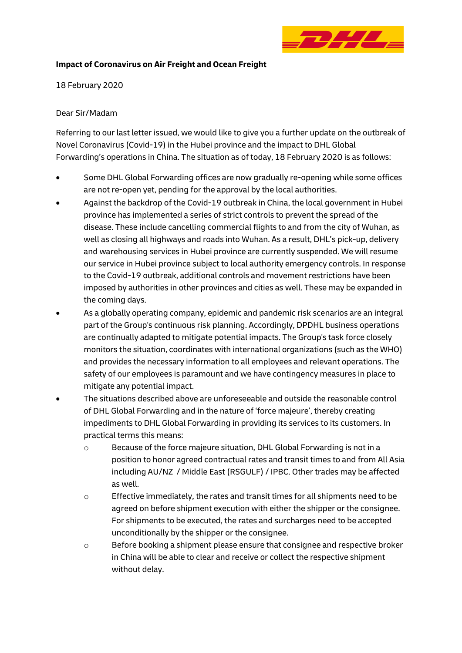

# **Impact of Coronavirus on Air Freight and Ocean Freight**

18 February 2020

# Dear Sir/Madam

Referring to our last letter issued, we would like to give you a further update on the outbreak of Novel Coronavirus (Covid-19) in the Hubei province and the impact to DHL Global Forwarding's operations in China. The situation as of today, 18 February 2020 is as follows:

- Some DHL Global Forwarding offices are now gradually re-opening while some offices are not re-open yet, pending for the approval by the local authorities.
- Against the backdrop of the Covid-19 outbreak in China, the local government in Hubei province has implemented a series of strict controls to prevent the spread of the disease. These include cancelling commercial flights to and from the city of Wuhan, as well as closing all highways and roads into Wuhan. As a result, DHL's pick-up, delivery and warehousing services in Hubei province are currently suspended. We will resume our service in Hubei province subject to local authority emergency controls. In response to the Covid-19 outbreak, additional controls and movement restrictions have been imposed by authorities in other provinces and cities as well. These may be expanded in the coming days.
- As a globally operating company, epidemic and pandemic risk scenarios are an integral part of the Group's continuous risk planning. Accordingly, DPDHL business operations are continually adapted to mitigate potential impacts. The Group's task force closely monitors the situation, coordinates with international organizations (such as the WHO) and provides the necessary information to all employees and relevant operations. The safety of our employees is paramount and we have contingency measures in place to mitigate any potential impact.
- The situations described above are unforeseeable and outside the reasonable control of DHL Global Forwarding and in the nature of 'force majeure', thereby creating impediments to DHL Global Forwarding in providing its services to its customers. In practical terms this means:
	- o Because of the force majeure situation, DHL Global Forwarding is not in a position to honor agreed contractual rates and transit times to and from All Asia including AU/NZ / Middle East (RSGULF) / IPBC. Other trades may be affected as well.
	- o Effective immediately, the rates and transit times for all shipments need to be agreed on before shipment execution with either the shipper or the consignee. For shipments to be executed, the rates and surcharges need to be accepted unconditionally by the shipper or the consignee.
	- o Before booking a shipment please ensure that consignee and respective broker in China will be able to clear and receive or collect the respective shipment without delay.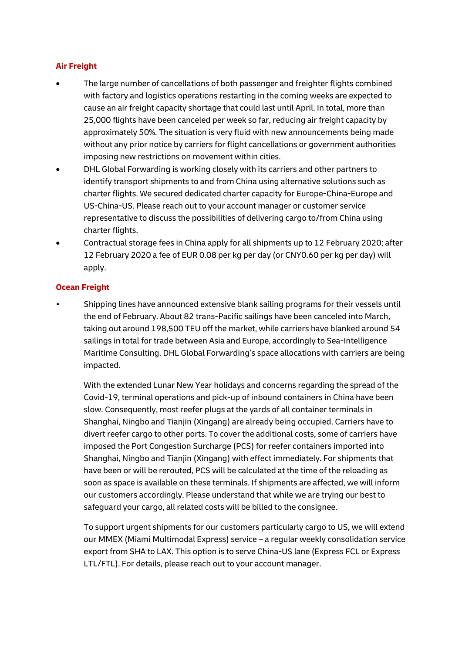### **Air Freight**

- The large number of cancellations of both passenger and freighter flights combined with factory and logistics operations restarting in the coming weeks are expected to cause an air freight capacity shortage that could last until April. In total, more than 25,000 flights have been canceled per week so far, reducing air freight capacity by approximately 50%. The situation is very fluid with new announcements being made without any prior notice by carriers for flight cancellations or government authorities imposing new restrictions on movement within cities.
- DHL Global Forwarding is working closely with its carriers and other partners to identify transport shipments to and from China using alternative solutions such as charter flights. We secured dedicated charter capacity for Europe-China-Europe and US-China-US. Please reach out to your account manager or customer service representative to discuss the possibilities of delivering cargo to/from China using charter flights.
- Contractual storage fees in China apply for all shipments up to 12 February 2020; after 12 February 2020 a fee of EUR 0.08 per kg per day (or CNY0.60 per kg per day) will apply.

#### **Ocean Freight**

• Shipping lines have announced extensive blank sailing programs for their vessels until the end of February. About 82 trans-Pacific sailings have been canceled into March, taking out around 198,500 TEU off the market, while carriers have blanked around 54 sailings in total for trade between Asia and Europe, accordingly to Sea-Intelligence Maritime Consulting. DHL Global Forwarding's space allocations with carriers are being impacted.

With the extended Lunar New Year holidays and concerns regarding the spread of the Covid-19, terminal operations and pick-up of inbound containers in China have been slow. Consequently, most reefer plugs at the yards of all container terminals in Shanghai, Ningbo and Tianjin (Xingang) are already being occupied. Carriers have to divert reefer cargo to other ports. To cover the additional costs, some of carriers have imposed the Port Congestion Surcharge (PCS) for reefer containers imported into Shanghai, Ningbo and Tianjin (Xingang) with effect immediately. For shipments that have been or will be rerouted, PCS will be calculated at the time of the reloading as soon as space is available on these terminals. If shipments are affected, we will inform our customers accordingly. Please understand that while we are trying our best to safeguard your cargo, all related costs will be billed to the consignee.

To support urgent shipments for our customers particularly cargo to US, we will extend our MMEX (Miami Multimodal Express) service – a regular weekly consolidation service export from SHA to LAX. This option is to serve China-US lane (Express FCL or Express LTL/FTL). For details, please reach out to your account manager.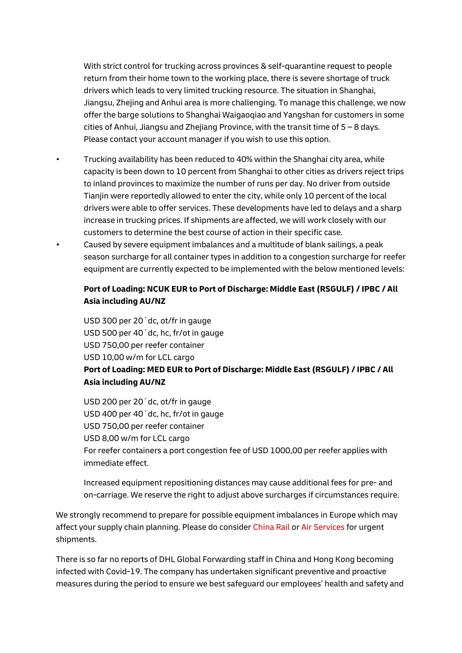With strict control for trucking across provinces & self-quarantine request to people return from their home town to the working place, there is severe shortage of truck drivers which leads to very limited trucking resource. The situation in Shanghai, Jiangsu, Zhejing and Anhui area is more challenging. To manage this challenge, we now offer the barge solutions to Shanghai Waigaoqiao and Yangshan for customers in some cities of Anhui, Jiangsu and Zhejiang Province, with the transit time of  $5 - 8$  days. Please contact your account manager if you wish to use this option.

- Trucking availability has been reduced to 40% within the Shanghai city area, while capacity is been down to 10 percent from Shanghai to other cities as drivers reject trips to inland provinces to maximize the number of runs per day. No driver from outside Tianjin were reportedly allowed to enter the city, while only 10 percent of the local drivers were able to offer services. These developments have led to delays and a sharp increase in trucking prices. If shipments are affected, we will work closely with our customers to determine the best course of action in their specific case.
	- Caused by severe equipment imbalances and a multitude of blank sailings, a peak season surcharge for all container types in addition to a congestion surcharge for reefer equipment are currently expected to be implemented with the below mentioned levels:

# **Port of Loading: NCUK EUR to Port of Discharge: Middle East (RSGULF) / IPBC / All Asia including AU/NZ**

USD 300 per 20´dc, ot/fr in gauge USD 500 per 40´dc, hc, fr/ot in gauge USD 750,00 per reefer container USD 10,00 w/m for LCL cargo **Port of Loading: MED EUR to Port of Discharge: Middle East (RSGULF) / IPBC / All Asia including AU/NZ**

USD 200 per 20´dc, ot/fr in gauge USD 400 per 40´dc, hc, fr/ot in gauge USD 750,00 per reefer container USD 8,00 w/m for LCL cargo For reefer containers a port congestion fee of USD 1000,00 per reefer applies with immediate effect.

Increased equipment repositioning distances may cause additional fees for pre- and on-carriage. We reserve the right to adjust above surcharges if circumstances require.

We strongly recommend to prepare for possible equipment imbalances in Europe which may affect your supply chain planning. Please do consider [China Rail](https://www.logistics.dhl/dk-en/home/our-divisions/global-forwarding/rail-freight.html) o[r Air Services](https://www.logistics.dhl/dk-en/home/our-divisions/global-forwarding/air-freight.html) for urgent shipments.

There is so far no reports of DHL Global Forwarding staff in China and Hong Kong becoming infected with Covid-19. The company has undertaken significant preventive and proactive measures during the period to ensure we best safeguard our employees' health and safety and